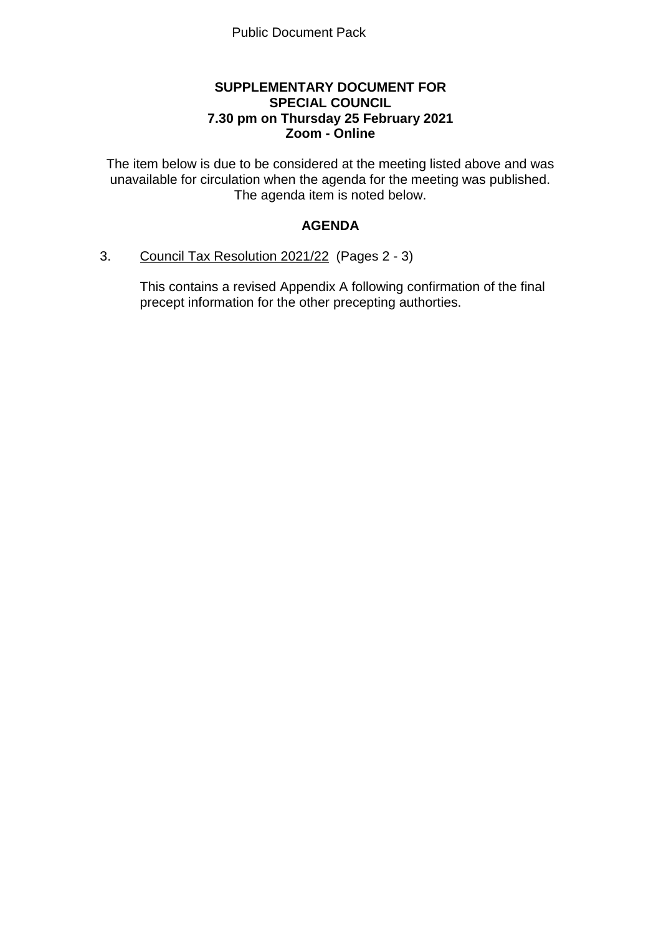## **SUPPLEMENTARY DOCUMENT FOR SPECIAL COUNCIL 7.30 pm on Thursday 25 February 2021 Zoom - Online**

The item below is due to be considered at the meeting listed above and was unavailable for circulation when the agenda for the meeting was published. The agenda item is noted below.

# **AGENDA**

## 3. Council Tax Resolution 2021/22 (Pages 2 - 3)

This contains a revised Appendix A following confirmation of the final precept information for the other precepting authorties.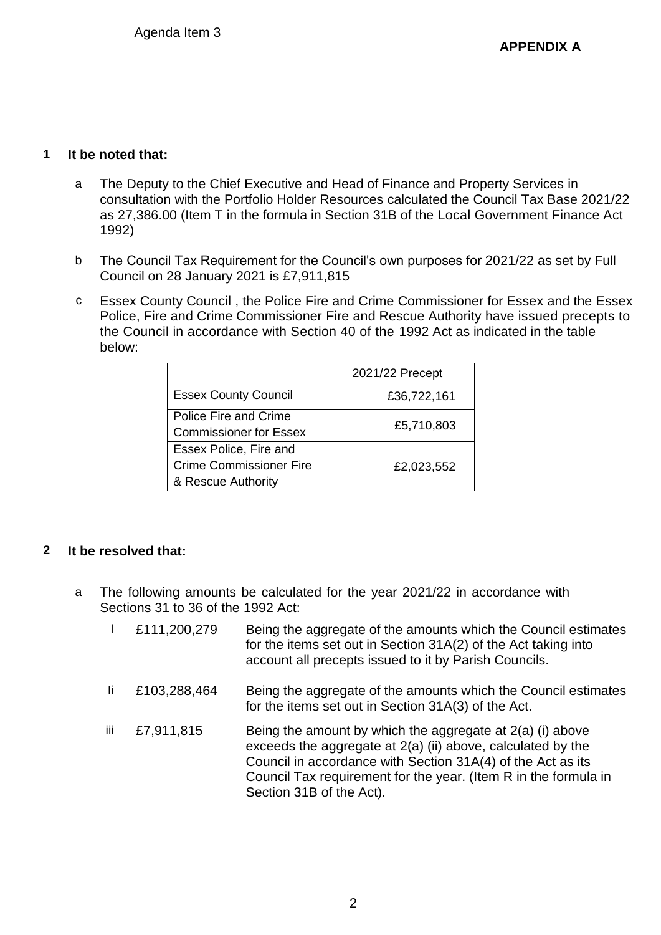## **1 It be noted that:**

- a The Deputy to the Chief Executive and Head of Finance and Property Services in consultation with the Portfolio Holder Resources calculated the Council Tax Base 2021/22 as 27,386.00 (Item T in the formula in Section 31B of the Local Government Finance Act 1992)
- b The Council Tax Requirement for the Council's own purposes for 2021/22 as set by Full Council on 28 January 2021 is £7,911,815
- c Essex County Council , the Police Fire and Crime Commissioner for Essex and the Essex Police, Fire and Crime Commissioner Fire and Rescue Authority have issued precepts to the Council in accordance with Section 40 of the 1992 Act as indicated in the table below:

|                                                                                | 2021/22 Precept |
|--------------------------------------------------------------------------------|-----------------|
| <b>Essex County Council</b>                                                    | £36,722,161     |
| Police Fire and Crime<br><b>Commissioner for Essex</b>                         | £5,710,803      |
| Essex Police, Fire and<br><b>Crime Commissioner Fire</b><br>& Rescue Authority | £2,023,552      |

## **2 It be resolved that:**

- a The following amounts be calculated for the year 2021/22 in accordance with Sections 31 to 36 of the 1992 Act:
	- I £111,200,279 Being the aggregate of the amounts which the Council estimates for the items set out in Section 31A(2) of the Act taking into account all precepts issued to it by Parish Councils. Ii £103,288,464 Being the aggregate of the amounts which the Council estimates for the items set out in Section 31A(3) of the Act. iii  $\pm$ 7,911,815 Being the amount by which the aggregate at 2(a) (i) above exceeds the aggregate at 2(a) (ii) above, calculated by the Council in accordance with Section 31A(4) of the Act as its